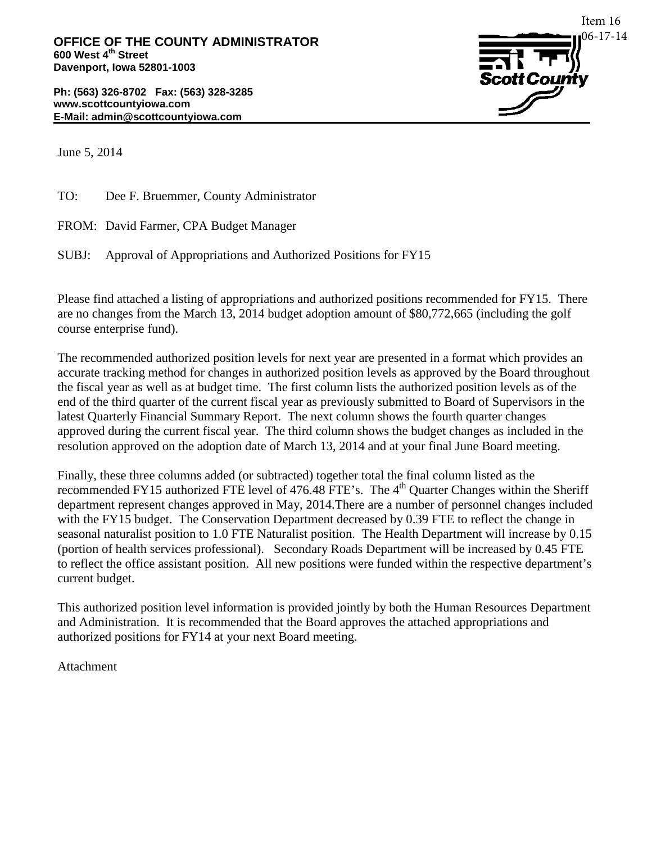**Ph: (563) 326-8702 Fax: (563) 328-3285 www.scottcountyiowa.com E-Mail: admin@scottcountyiowa.com**



June 5, 2014

TO: Dee F. Bruemmer, County Administrator

FROM: David Farmer, CPA Budget Manager

SUBJ: Approval of Appropriations and Authorized Positions for FY15

Please find attached a listing of appropriations and authorized positions recommended for FY15. There are no changes from the March 13, 2014 budget adoption amount of \$80,772,665 (including the golf course enterprise fund).

The recommended authorized position levels for next year are presented in a format which provides an accurate tracking method for changes in authorized position levels as approved by the Board throughout the fiscal year as well as at budget time. The first column lists the authorized position levels as of the end of the third quarter of the current fiscal year as previously submitted to Board of Supervisors in the latest Quarterly Financial Summary Report. The next column shows the fourth quarter changes approved during the current fiscal year. The third column shows the budget changes as included in the resolution approved on the adoption date of March 13, 2014 and at your final June Board meeting.

Finally, these three columns added (or subtracted) together total the final column listed as the recommended FY15 authorized FTE level of 476.48 FTE's. The 4<sup>th</sup> Quarter Changes within the Sheriff department represent changes approved in May, 2014.There are a number of personnel changes included with the FY15 budget. The Conservation Department decreased by 0.39 FTE to reflect the change in seasonal naturalist position to 1.0 FTE Naturalist position. The Health Department will increase by 0.15 (portion of health services professional). Secondary Roads Department will be increased by 0.45 FTE to reflect the office assistant position. All new positions were funded within the respective department's current budget.

This authorized position level information is provided jointly by both the Human Resources Department and Administration. It is recommended that the Board approves the attached appropriations and authorized positions for FY14 at your next Board meeting.

Attachment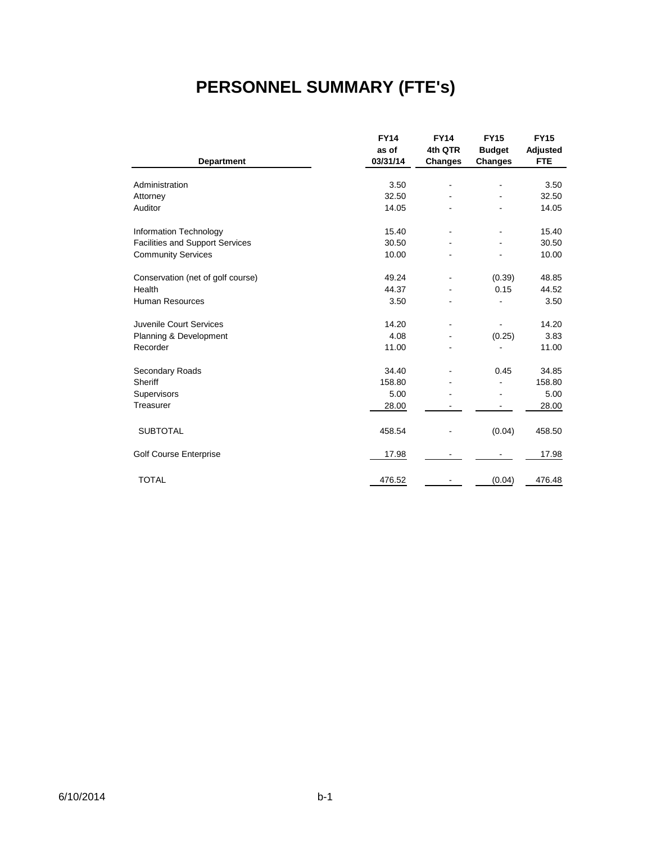# **PERSONNEL SUMMARY (FTE's)**

|                                        | <b>FY14</b> | <b>FY14</b>    | <b>FY15</b>    | <b>FY15</b> |
|----------------------------------------|-------------|----------------|----------------|-------------|
|                                        | as of       | 4th QTR        | <b>Budget</b>  | Adjusted    |
| <b>Department</b>                      | 03/31/14    | <b>Changes</b> | <b>Changes</b> | <b>FTE</b>  |
|                                        |             |                |                |             |
| Administration                         | 3.50        |                |                | 3.50        |
| Attorney                               | 32.50       |                |                | 32.50       |
| Auditor                                | 14.05       |                |                | 14.05       |
| Information Technology                 | 15.40       |                |                | 15.40       |
| <b>Facilities and Support Services</b> | 30.50       |                |                | 30.50       |
| <b>Community Services</b>              | 10.00       |                |                | 10.00       |
| Conservation (net of golf course)      | 49.24       |                | (0.39)         | 48.85       |
| Health                                 | 44.37       |                | 0.15           | 44.52       |
| <b>Human Resources</b>                 | 3.50        |                |                | 3.50        |
| Juvenile Court Services                | 14.20       | $\blacksquare$ | ä,             | 14.20       |
| Planning & Development                 | 4.08        |                | (0.25)         | 3.83        |
| Recorder                               | 11.00       |                |                | 11.00       |
| Secondary Roads                        | 34.40       |                | 0.45           | 34.85       |
| Sheriff                                | 158.80      |                |                | 158.80      |
| Supervisors                            | 5.00        |                | ۰              | 5.00        |
| Treasurer                              | 28.00       |                |                | 28.00       |
| <b>SUBTOTAL</b>                        | 458.54      |                | (0.04)         | 458.50      |
| Golf Course Enterprise                 | 17.98       |                |                | 17.98       |
| <b>TOTAL</b>                           | 476.52      |                | (0.04)         | 476.48      |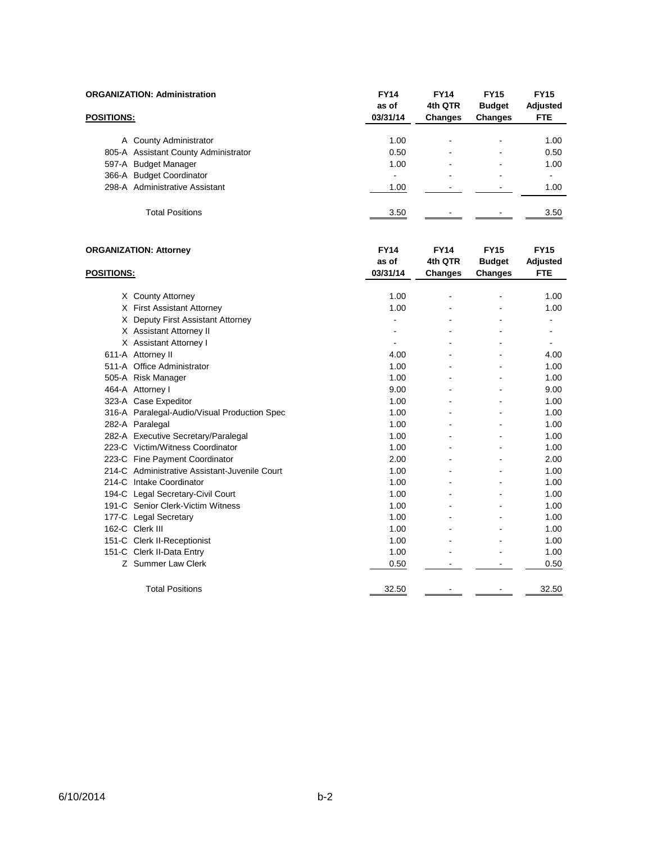|                   | <b>ORGANIZATION: Administration</b>           | <b>FY14</b><br>as of | <b>FY14</b><br>4th QTR | <b>FY15</b><br><b>Budget</b> | <b>FY15</b><br>Adjusted |
|-------------------|-----------------------------------------------|----------------------|------------------------|------------------------------|-------------------------|
| <b>POSITIONS:</b> |                                               | 03/31/14             | <b>Changes</b>         | <b>Changes</b>               | <b>FTE</b>              |
|                   | A County Administrator                        | 1.00                 |                        |                              | 1.00                    |
|                   | 805-A Assistant County Administrator          | 0.50                 |                        |                              | 0.50                    |
|                   | 597-A Budget Manager                          | 1.00                 |                        |                              | 1.00                    |
|                   | 366-A Budget Coordinator                      | $\blacksquare$       |                        |                              | ÷.                      |
|                   | 298-A Administrative Assistant                | 1.00                 | $\blacksquare$         | $\blacksquare$               | 1.00                    |
|                   | <b>Total Positions</b>                        | 3.50                 |                        |                              | 3.50                    |
|                   | <b>ORGANIZATION: Attorney</b>                 | <b>FY14</b><br>as of | <b>FY14</b><br>4th QTR | <b>FY15</b><br><b>Budget</b> | <b>FY15</b><br>Adjusted |
| <b>POSITIONS:</b> |                                               | 03/31/14             | <b>Changes</b>         | <b>Changes</b>               | <b>FTE</b>              |
|                   | X County Attorney                             | 1.00                 |                        |                              | 1.00                    |
|                   | X First Assistant Attorney                    | 1.00                 |                        |                              | 1.00                    |
|                   | X Deputy First Assistant Attorney             | $\frac{1}{2}$        |                        |                              |                         |
|                   | X Assistant Attorney II                       | ä,                   |                        |                              | L,                      |
|                   | X Assistant Attorney I                        |                      |                        |                              |                         |
|                   | 611-A Attorney II                             | 4.00                 |                        |                              | 4.00                    |
|                   | 511-A Office Administrator                    | 1.00                 |                        |                              | 1.00                    |
|                   | 505-A Risk Manager                            | 1.00                 |                        |                              | 1.00                    |
|                   | 464-A Attorney I                              | 9.00                 |                        | $\blacksquare$               | 9.00                    |
|                   | 323-A Case Expeditor                          | 1.00                 |                        |                              | 1.00                    |
|                   | 316-A Paralegal-Audio/Visual Production Spec  | 1.00                 |                        |                              | 1.00                    |
|                   | 282-A Paralegal                               | 1.00                 |                        |                              | 1.00                    |
|                   | 282-A Executive Secretary/Paralegal           | 1.00                 |                        |                              | 1.00                    |
|                   | 223-C Victim/Witness Coordinator              | 1.00                 |                        | $\blacksquare$               | 1.00                    |
|                   | 223-C Fine Payment Coordinator                | 2.00                 |                        |                              | 2.00                    |
|                   | 214-C Administrative Assistant-Juvenile Court | 1.00                 |                        |                              | 1.00                    |
|                   | 214-C Intake Coordinator                      | 1.00                 |                        |                              | 1.00                    |
|                   | 194-C Legal Secretary-Civil Court             | 1.00                 |                        |                              | 1.00                    |
|                   | 191-C Senior Clerk-Victim Witness             | 1.00                 |                        | ä,                           | 1.00                    |
|                   | 177-C Legal Secretary                         | 1.00                 |                        |                              | 1.00                    |
|                   | 162-C Clerk III                               | 1.00                 |                        | $\blacksquare$               | 1.00                    |
|                   | 151-C Clerk II-Receptionist                   | 1.00                 |                        |                              | 1.00                    |
|                   | 151-C Clerk II-Data Entry                     | 1.00                 |                        |                              | 1.00                    |
|                   | Z Summer Law Clerk                            | 0.50                 |                        |                              | 0.50                    |

Total Positions 22.50 - 32.50 - 32.50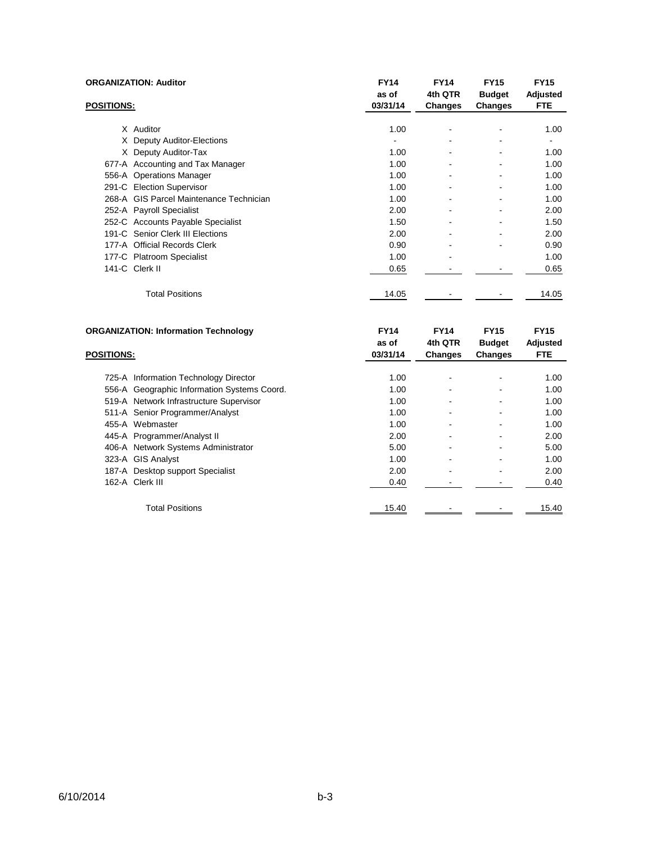|                   | <b>ORGANIZATION: Auditor</b>            | <b>FY14</b><br>as of | <b>FY14</b><br>4th QTR       | <b>FY15</b><br><b>Budget</b> | <b>FY15</b><br>Adjusted |
|-------------------|-----------------------------------------|----------------------|------------------------------|------------------------------|-------------------------|
| <b>POSITIONS:</b> |                                         | 03/31/14             | Changes                      | <b>Changes</b>               | <b>FTE</b>              |
|                   |                                         |                      |                              |                              |                         |
|                   | X Auditor                               | 1.00                 | ۰                            |                              | 1.00                    |
| X.                | <b>Deputy Auditor-Elections</b>         |                      | $\qquad \qquad \blacksquare$ | ۰                            | ۰                       |
| X.                | Deputy Auditor-Tax                      | 1.00                 |                              |                              | 1.00                    |
|                   | 677-A Accounting and Tax Manager        | 1.00                 | ۰                            | ۰                            | 1.00                    |
|                   | 556-A Operations Manager                | 1.00                 | ۰                            |                              | 1.00                    |
|                   | 291-C Election Supervisor               | 1.00                 | $\qquad \qquad \blacksquare$ | ۰                            | 1.00                    |
|                   | 268-A GIS Parcel Maintenance Technician | 1.00                 |                              |                              | 1.00                    |
|                   | 252-A Payroll Specialist                | 2.00                 | $\qquad \qquad \blacksquare$ | ۰                            | 2.00                    |
|                   | 252-C Accounts Payable Specialist       | 1.50                 |                              |                              | 1.50                    |
|                   | 191-C Senior Clerk III Elections        | 2.00                 | ٠                            | $\qquad \qquad \blacksquare$ | 2.00                    |
|                   | 177-A Official Records Clerk            | 0.90                 | ۰                            |                              | 0.90                    |
|                   | 177-C Platroom Specialist               | 1.00                 | ۰                            |                              | 1.00                    |
|                   | 141-C Clerk II                          | 0.65                 |                              |                              | 0.65                    |
|                   | <b>Total Positions</b>                  | 14.05                |                              |                              | 14.05                   |
|                   |                                         |                      |                              |                              |                         |

| <b>ORGANIZATION: Information Technology</b> | <b>FY14</b> | <b>FY14</b>    | <b>FY15</b>    | <b>FY15</b> |
|---------------------------------------------|-------------|----------------|----------------|-------------|
|                                             | as of       | 4th QTR        | <b>Budget</b>  | Adjusted    |
| <b>POSITIONS:</b>                           | 03/31/14    | <b>Changes</b> | <b>Changes</b> | <b>FTE</b>  |
|                                             |             |                |                |             |
| 725-A Information Technology Director       |             | 1.00           |                | 1.00        |
| 556-A Geographic Information Systems Coord. |             | 1.00           |                | 1.00        |
| 519-A Network Infrastructure Supervisor     |             | 1.00           |                | 1.00        |
| 511-A Senior Programmer/Analyst             |             | 1.00           |                | 1.00        |
| 455-A Webmaster                             |             | 1.00           |                | 1.00        |
| 445-A Programmer/Analyst II                 | 2.00        |                |                | 2.00        |
| 406-A Network Systems Administrator         | 5.00        |                |                | 5.00        |
| 323-A GIS Analyst                           |             | 1.00           |                | 1.00        |
| 187-A Desktop support Specialist            | 2.00        |                |                | 2.00        |
| 162-A Clerk III                             | 0.40        |                |                | 0.40        |
| <b>Total Positions</b>                      | 15.40       |                |                | 15.40       |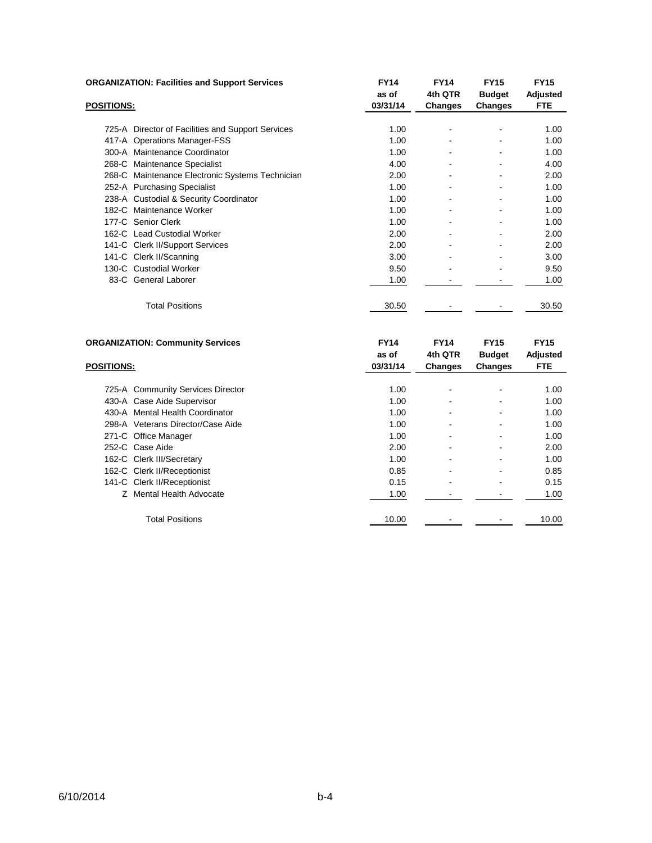|                   | <b>ORGANIZATION: Facilities and Support Services</b> | <b>FY14</b><br>as of | <b>FY14</b><br>4th QTR | <b>FY15</b><br><b>Budget</b> | <b>FY15</b><br>Adjusted |
|-------------------|------------------------------------------------------|----------------------|------------------------|------------------------------|-------------------------|
| <b>POSITIONS:</b> |                                                      | 03/31/14             | Changes                | <b>Changes</b>               | <b>FTE</b>              |
|                   | 725-A Director of Facilities and Support Services    | 1.00                 |                        |                              | 1.00                    |
|                   | 417-A Operations Manager-FSS                         | 1.00                 | $\blacksquare$         |                              | 1.00                    |
|                   | 300-A Maintenance Coordinator                        | 1.00                 |                        |                              | 1.00                    |
|                   | 268-C Maintenance Specialist                         | 4.00                 |                        |                              | 4.00                    |
|                   | 268-C Maintenance Electronic Systems Technician      | 2.00                 | $\blacksquare$         |                              | 2.00                    |
|                   | 252-A Purchasing Specialist                          | 1.00                 |                        |                              | 1.00                    |
|                   | 238-A Custodial & Security Coordinator               | 1.00                 |                        |                              | 1.00                    |
|                   | 182-C Maintenance Worker                             | 1.00                 | $\blacksquare$         |                              | 1.00                    |
|                   | 177-C Senior Clerk                                   | 1.00                 |                        |                              | 1.00                    |
|                   | 162-C Lead Custodial Worker                          | 2.00                 |                        |                              | 2.00                    |
|                   | 141-C Clerk II/Support Services                      | 2.00                 | $\blacksquare$         |                              | 2.00                    |
|                   | 141-C Clerk II/Scanning                              | 3.00                 |                        |                              | 3.00                    |
|                   | 130-C Custodial Worker                               | 9.50                 |                        |                              | 9.50                    |
|                   | 83-C General Laborer                                 | 1.00                 |                        |                              | 1.00                    |
|                   | <b>Total Positions</b>                               | 30.50                |                        |                              | 30.50                   |

|                   | <b>ORGANIZATION: Community Services</b> | <b>FY14</b><br>as of | <b>FY14</b><br>4th QTR | <b>FY15</b><br><b>Budget</b> | <b>FY15</b><br>Adjusted |
|-------------------|-----------------------------------------|----------------------|------------------------|------------------------------|-------------------------|
| <b>POSITIONS:</b> |                                         | 03/31/14             | <b>Changes</b>         | <b>Changes</b>               | <b>FTE</b>              |
|                   |                                         |                      |                        |                              |                         |
|                   | 725-A Community Services Director       | 1.00                 |                        |                              | 1.00                    |
|                   | 430-A Case Aide Supervisor              | 1.00                 |                        |                              | 1.00                    |
|                   | 430-A Mental Health Coordinator         | 1.00                 |                        |                              | 1.00                    |
|                   | 298-A Veterans Director/Case Aide       | 1.00                 |                        |                              | 1.00                    |
|                   | 271-C Office Manager                    | 1.00                 |                        |                              | 1.00                    |
|                   | 252-C Case Aide                         | 2.00                 |                        |                              | 2.00                    |
|                   | 162-C Clerk III/Secretary               | 1.00                 |                        |                              | 1.00                    |
|                   | 162-C Clerk II/Receptionist             | 0.85                 |                        |                              | 0.85                    |
|                   | 141-C Clerk II/Receptionist             | 0.15                 |                        |                              | 0.15                    |
|                   | Z Mental Health Advocate                | 1.00                 |                        |                              | 1.00                    |
|                   | <b>Total Positions</b>                  | 10.00                |                        |                              | 10.00                   |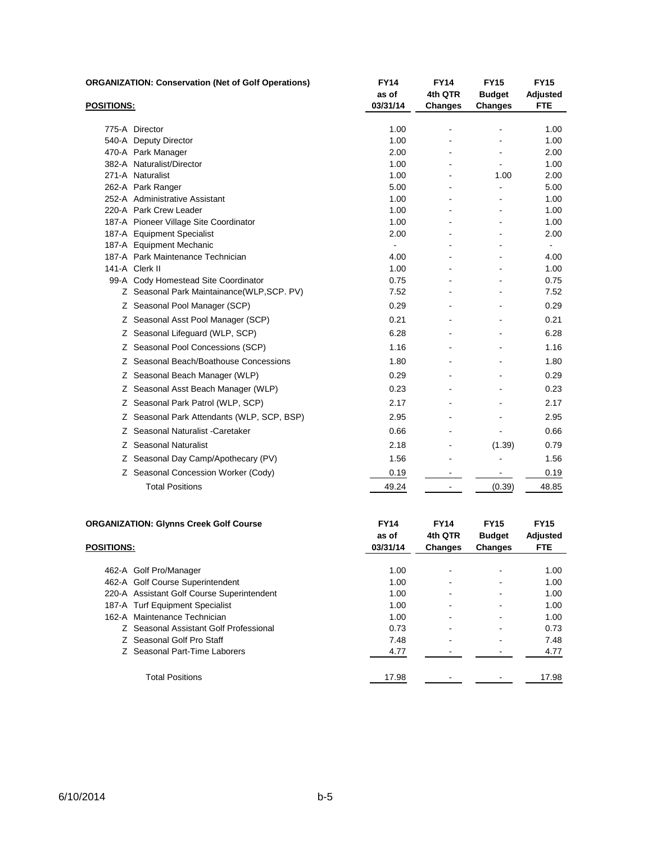|                   | <b>ORGANIZATION: Conservation (Net of Golf Operations)</b> | <b>FY14</b><br>as of | <b>FY14</b><br>4th QTR | <b>FY15</b><br><b>Budget</b> | <b>FY15</b><br>Adjusted |
|-------------------|------------------------------------------------------------|----------------------|------------------------|------------------------------|-------------------------|
| <b>POSITIONS:</b> |                                                            | 03/31/14             | <b>Changes</b>         | <b>Changes</b>               | <b>FTE</b>              |
|                   | 775-A Director                                             | 1.00                 |                        |                              | 1.00                    |
|                   | 540-A Deputy Director                                      | 1.00                 |                        |                              | 1.00                    |
|                   | 470-A Park Manager                                         | 2.00                 |                        |                              | 2.00                    |
|                   | 382-A Naturalist/Director                                  | 1.00                 |                        |                              | 1.00                    |
|                   | 271-A Naturalist                                           | 1.00                 |                        | 1.00                         | 2.00                    |
|                   | 262-A Park Ranger                                          | 5.00                 |                        |                              | 5.00                    |
|                   | 252-A Administrative Assistant                             | 1.00                 |                        |                              | 1.00                    |
|                   | 220-A Park Crew Leader                                     | 1.00                 |                        |                              | 1.00                    |
|                   | 187-A Pioneer Village Site Coordinator                     | 1.00                 |                        |                              | 1.00                    |
|                   | 187-A Equipment Specialist                                 | 2.00                 |                        |                              | 2.00                    |
|                   | 187-A Equipment Mechanic                                   | $\blacksquare$       |                        | ä,                           | $\blacksquare$          |
|                   | 187-A Park Maintenance Technician                          | 4.00                 |                        |                              | 4.00                    |
|                   | 141-A Clerk II<br>99-A Cody Homestead Site Coordinator     | 1.00<br>0.75         |                        |                              | 1.00<br>0.75            |
|                   | Z Seasonal Park Maintainance(WLP,SCP. PV)                  | 7.52                 |                        |                              | 7.52                    |
|                   | Z Seasonal Pool Manager (SCP)                              | 0.29                 |                        |                              | 0.29                    |
|                   | Z Seasonal Asst Pool Manager (SCP)                         | 0.21                 |                        |                              | 0.21                    |
|                   | Z Seasonal Lifeguard (WLP, SCP)                            | 6.28                 |                        |                              | 6.28                    |
|                   | Z Seasonal Pool Concessions (SCP)                          | 1.16                 |                        |                              | 1.16                    |
|                   | Z Seasonal Beach/Boathouse Concessions                     | 1.80                 |                        |                              | 1.80                    |
|                   | Z Seasonal Beach Manager (WLP)                             | 0.29                 |                        |                              | 0.29                    |
|                   | Z Seasonal Asst Beach Manager (WLP)                        | 0.23                 |                        |                              | 0.23                    |
|                   | Z Seasonal Park Patrol (WLP, SCP)                          | 2.17                 |                        |                              | 2.17                    |
|                   | Z Seasonal Park Attendants (WLP, SCP, BSP)                 | 2.95                 |                        |                              | 2.95                    |
|                   | Z Seasonal Naturalist - Caretaker                          | 0.66                 |                        |                              | 0.66                    |
|                   | Z Seasonal Naturalist                                      | 2.18                 |                        | (1.39)                       | 0.79                    |
|                   | Z Seasonal Day Camp/Apothecary (PV)                        | 1.56                 |                        |                              | 1.56                    |
|                   | Z Seasonal Concession Worker (Cody)                        | 0.19                 |                        |                              | 0.19                    |
|                   | <b>Total Positions</b>                                     | 49.24                | $\blacksquare$         | (0.39)                       | 48.85                   |
|                   |                                                            | <b>FY14</b>          | <b>FY14</b>            | <b>FY15</b>                  | <b>FY15</b>             |
|                   | <b>ORGANIZATION: Glynns Creek Golf Course</b>              | as of                | 4th QTR                | <b>Budget</b>                | Adjusted                |
| <b>POSITIONS:</b> |                                                            | 03/31/14             | <b>Changes</b>         | Changes                      | <b>FTE</b>              |

| . |                                            |       |   | - 3 - - |       |
|---|--------------------------------------------|-------|---|---------|-------|
|   |                                            |       |   |         |       |
|   | 462-A Golf Pro/Manager                     | 1.00  | ۰ | -       | 1.00  |
|   | 462-A Golf Course Superintendent           | 1.00  | - |         | 1.00  |
|   | 220-A Assistant Golf Course Superintendent | 1.00  | - |         | 1.00  |
|   | 187-A Turf Equipment Specialist            | 1.00  |   |         | 1.00  |
|   | 162-A Maintenance Technician               | 1.00  | ٠ |         | 1.00  |
|   | Z Seasonal Assistant Golf Professional     | 0.73  |   |         | 0.73  |
|   | Z Seasonal Golf Pro Staff                  | 7.48  | - |         | 7.48  |
|   | Z Seasonal Part-Time Laborers              | 4.77  |   |         | 4.77  |
|   | Total Positions                            | 17.98 |   |         | 17.98 |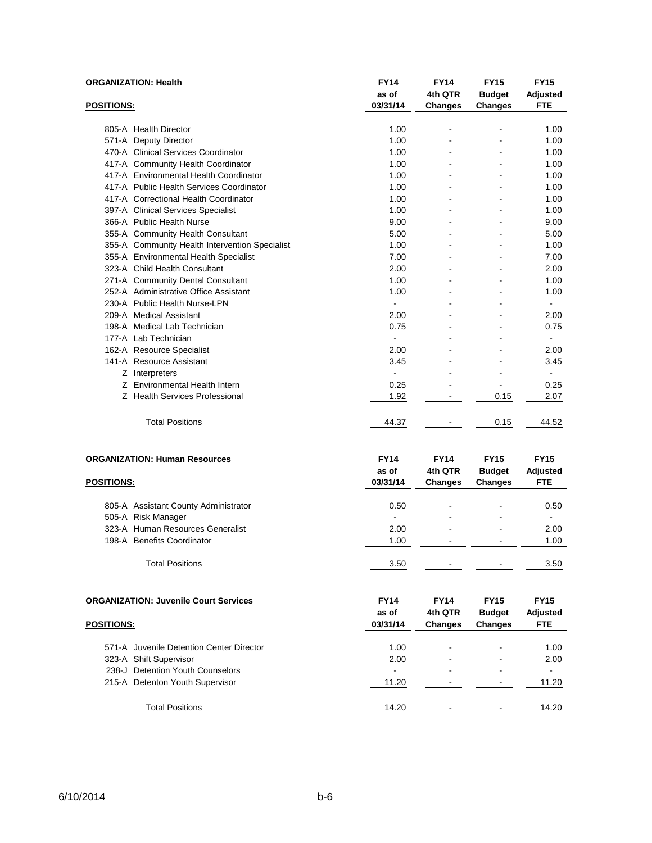|                   | <b>ORGANIZATION: Health</b>                    | <b>FY14</b><br>as of | <b>FY14</b><br>4th QTR   | <b>FY15</b><br><b>Budget</b> | <b>FY15</b><br>Adjusted |
|-------------------|------------------------------------------------|----------------------|--------------------------|------------------------------|-------------------------|
| <b>POSITIONS:</b> |                                                | 03/31/14             | <b>Changes</b>           | <b>Changes</b>               | <b>FTE</b>              |
|                   |                                                |                      |                          |                              |                         |
|                   | 805-A Health Director                          | 1.00                 | $\overline{\phantom{0}}$ | -                            | 1.00                    |
|                   | 571-A Deputy Director                          | 1.00                 | L,                       |                              | 1.00                    |
|                   | 470-A Clinical Services Coordinator            | 1.00                 |                          |                              | 1.00                    |
|                   | 417-A Community Health Coordinator             | 1.00                 |                          |                              | 1.00                    |
|                   | 417-A Environmental Health Coordinator         | 1.00                 |                          |                              | 1.00                    |
|                   | 417-A Public Health Services Coordinator       | 1.00                 |                          |                              | 1.00                    |
|                   | 417-A Correctional Health Coordinator          | 1.00                 | ä,                       | ÷.                           | 1.00                    |
|                   | 397-A Clinical Services Specialist             | 1.00                 |                          |                              | 1.00                    |
|                   | 366-A Public Health Nurse                      | 9.00                 |                          |                              | 9.00                    |
|                   | 355-A Community Health Consultant              | 5.00                 |                          |                              | 5.00                    |
|                   | 355-A Community Health Intervention Specialist | 1.00                 |                          |                              | 1.00                    |
|                   | 355-A Environmental Health Specialist          | 7.00                 |                          |                              | 7.00                    |
|                   | 323-A Child Health Consultant                  | 2.00                 | ۰                        | ۰                            | 2.00                    |
|                   | 271-A Community Dental Consultant              | 1.00                 | ä,                       | ÷.                           | 1.00                    |
|                   | 252-A Administrative Office Assistant          | 1.00                 |                          |                              | 1.00                    |
|                   | 230-A Public Health Nurse-LPN                  | ÷,                   |                          |                              | $\frac{1}{2}$           |
|                   | 209-A Medical Assistant                        | 2.00                 |                          |                              | 2.00                    |
|                   | 198-A Medical Lab Technician                   | 0.75                 |                          |                              | 0.75                    |
|                   | 177-A Lab Technician                           |                      |                          |                              |                         |
|                   | 162-A Resource Specialist                      | 2.00                 |                          |                              | 2.00                    |
|                   | 141-A Resource Assistant                       | 3.45                 |                          |                              | 3.45                    |
|                   | Z Interpreters                                 | $\blacksquare$       |                          |                              |                         |
|                   | Z Environmental Health Intern                  | 0.25                 |                          |                              | 0.25                    |
|                   | Z Health Services Professional                 | 1.92                 | ۰                        | 0.15                         | 2.07                    |
|                   | <b>Total Positions</b>                         | 44.37                | ۰                        | 0.15                         | 44.52                   |
|                   | <b>ORGANIZATION: Human Resources</b>           | <b>FY14</b>          | <b>FY14</b>              | <b>FY15</b>                  | <b>FY15</b>             |
|                   |                                                | as of                | 4th QTR                  | <b>Budget</b>                | Adjusted                |
| POSITIONS:        |                                                | 03/31/14             | <b>Changes</b>           | Changes                      | <b>FTE</b>              |
|                   |                                                |                      |                          |                              |                         |
|                   | 805-A Assistant County Administrator           | 0.50                 |                          |                              | 0.50                    |
|                   | 505-A Risk Manager                             |                      |                          |                              |                         |
|                   | 323-A Human Resources Generalist               | 2.00                 |                          |                              | 2.00                    |
|                   | 198-A Benefits Coordinator                     | 1.00                 |                          |                              | 1.00                    |
|                   |                                                |                      |                          |                              |                         |
|                   | <b>Total Positions</b>                         | 3.50                 |                          |                              | 3.50                    |
|                   |                                                |                      |                          |                              |                         |
|                   | <b>ORGANIZATION: Juvenile Court Services</b>   | <b>FY14</b>          | <b>FY14</b>              | <b>FY15</b>                  | <b>FY15</b>             |
|                   |                                                | as of                | 4th QTR                  | <b>Budget</b>                | Adjusted                |
| <u>POSITIONS:</u> |                                                | 03/31/14             | <b>Changes</b>           | <b>Changes</b>               | <b>FTE</b>              |
|                   |                                                |                      |                          |                              |                         |
|                   | 571-A Juvenile Detention Center Director       | 1.00                 |                          |                              | 1.00                    |
|                   | 323-A Shift Supervisor                         | 2.00                 |                          |                              | 2.00                    |
|                   | 238-J Detention Youth Counselors               | ÷,                   |                          |                              | ä,                      |
|                   | 215-A Detenton Youth Supervisor                | 11.20                |                          |                              | 11.20                   |
|                   |                                                |                      |                          |                              |                         |

Total Positions 14.20 - 14.20 - 14.20 14.20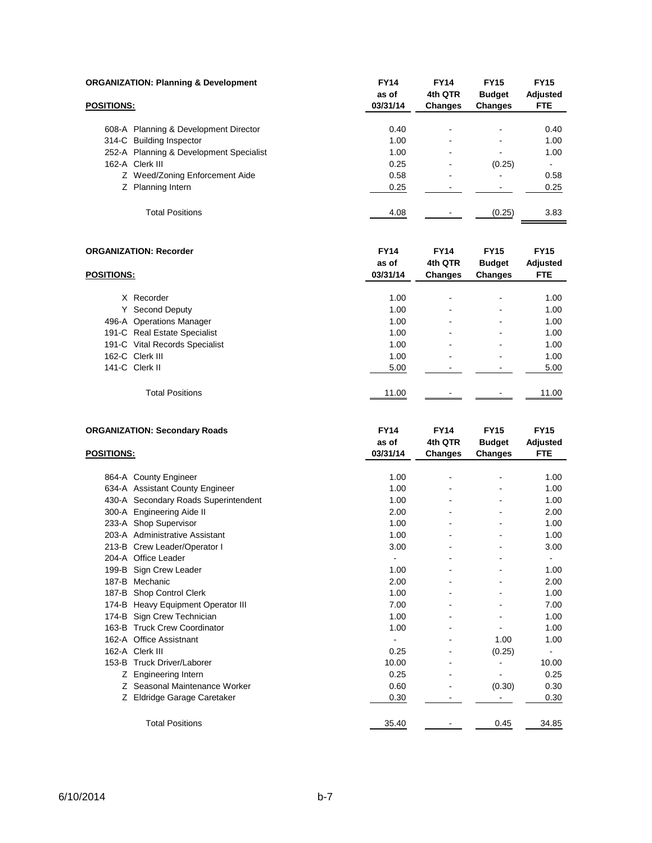|                   | <b>ORGANIZATION: Planning &amp; Development</b> | <b>FY14</b>       | <b>FY14</b>              | <b>FY15</b>              | <b>FY15</b>            |
|-------------------|-------------------------------------------------|-------------------|--------------------------|--------------------------|------------------------|
| <b>POSITIONS:</b> |                                                 | as of<br>03/31/14 | 4th QTR<br>Changes       | <b>Budget</b><br>Changes | Adjusted<br><b>FTE</b> |
|                   |                                                 |                   |                          |                          |                        |
|                   | 608-A Planning & Development Director           | 0.40              |                          | -                        | 0.40                   |
|                   | 314-C Building Inspector                        | 1.00              |                          |                          | 1.00                   |
|                   | 252-A Planning & Development Specialist         | 1.00              |                          |                          | 1.00                   |
|                   | 162-A Clerk III                                 | 0.25              | $\overline{\phantom{0}}$ | (0.25)                   | ۰                      |
|                   | Z Weed/Zoning Enforcement Aide                  | 0.58              | -                        |                          | 0.58                   |
|                   | Z Planning Intern                               | 0.25              |                          |                          | 0.25                   |
|                   |                                                 |                   |                          |                          |                        |
|                   | <b>Total Positions</b>                          | 4.08              |                          | (0.25)                   | 3.83                   |

|                   | <b>ORGANIZATION: Recorder</b>  | <b>FY14</b><br>as of | <b>FY14</b><br>4th QTR | <b>FY15</b><br><b>Budget</b> | <b>FY15</b><br>Adjusted |
|-------------------|--------------------------------|----------------------|------------------------|------------------------------|-------------------------|
| <b>POSITIONS:</b> |                                | 03/31/14             | Changes                | Changes                      | <b>FTE</b>              |
|                   | X Recorder                     | 1.00                 |                        | ٠                            | 1.00                    |
|                   | Y Second Deputy                | 1.00                 |                        | -                            | 1.00                    |
|                   | 496-A Operations Manager       | 1.00                 |                        | ٠                            | 1.00                    |
|                   | 191-C Real Estate Specialist   | 1.00                 |                        | ٠                            | 1.00                    |
|                   | 191-C Vital Records Specialist | 1.00                 |                        | ٠                            | 1.00                    |
|                   | 162-C Clerk III                | 1.00                 |                        |                              | 1.00                    |
|                   | 141-C Clerk II                 | 5.00                 |                        |                              | 5.00                    |
|                   | <b>Total Positions</b>         | 11.00                |                        |                              | 11.00                   |

| <b>FY14</b> | <b>FY14</b> | <b>FY15</b>   | <b>FY15</b>    |
|-------------|-------------|---------------|----------------|
| as of       | 4th QTR     | <b>Budget</b> | Adjusted       |
| 03/31/14    | Changes     | Changes       | <b>FTE</b>     |
|             |             |               |                |
| 1.00        |             |               | 1.00           |
| 1.00        |             |               | 1.00           |
| 1.00        |             |               | 1.00           |
| 2.00        |             |               | 2.00           |
| 1.00        |             |               | 1.00           |
| 1.00        |             |               | 1.00           |
| 3.00        |             |               | 3.00           |
|             |             |               |                |
| 1.00        |             |               | 1.00           |
| 2.00        |             |               | 2.00           |
| 1.00        |             |               | 1.00           |
| 7.00        |             |               | 7.00           |
| 1.00        |             |               | 1.00           |
| 1.00        |             |               | 1.00           |
|             |             | 1.00          | 1.00           |
| 0.25        |             | (0.25)        | $\blacksquare$ |
| 10.00       |             |               | 10.00          |
| 0.25        |             |               | 0.25           |
| 0.60        |             | (0.30)        | 0.30           |
| 0.30        |             |               | 0.30           |
|             |             |               | 34.85          |
|             | 35.40       |               | 0.45           |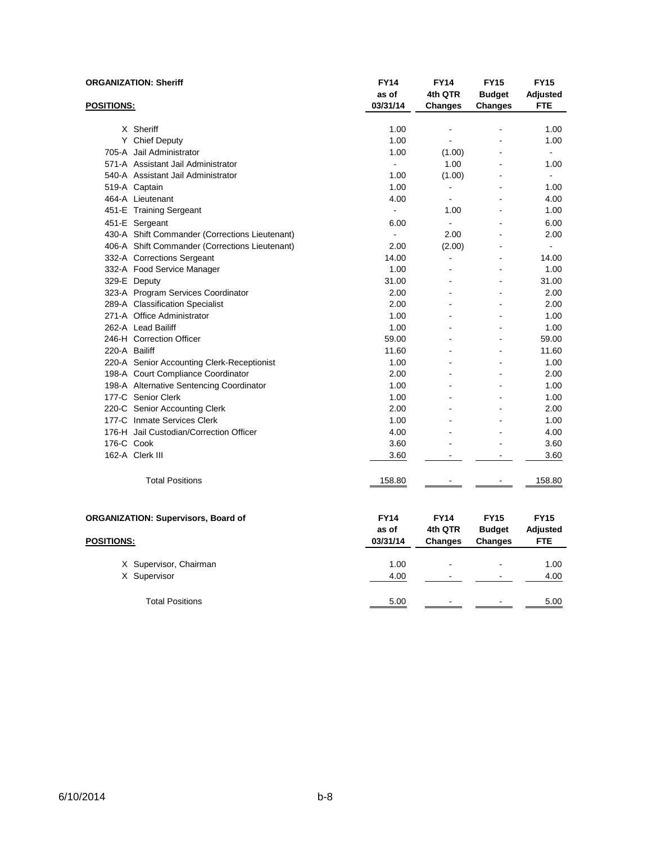|                   | <b>ORGANIZATION: Sheriff</b>                   | <b>FY14</b><br>as of | <b>FY14</b><br>4th QTR           | <b>FY15</b><br><b>Budget</b> | <b>FY15</b><br><b>Adjusted</b> |
|-------------------|------------------------------------------------|----------------------|----------------------------------|------------------------------|--------------------------------|
| <u>POSITIONS:</u> |                                                | 03/31/14             | <b>Changes</b>                   | <b>Changes</b>               | <b>FTE</b>                     |
|                   |                                                |                      |                                  |                              |                                |
|                   | X Sheriff<br>Y Chief Deputy                    | 1.00<br>1.00         | $\blacksquare$<br>$\overline{a}$ |                              | 1.00<br>1.00                   |
|                   | 705-A Jail Administrator                       | 1.00                 |                                  |                              | $\mathbf{r}$                   |
|                   | 571-A Assistant Jail Administrator             | $\blacksquare$       | (1.00)<br>1.00                   |                              | 1.00                           |
|                   | 540-A Assistant Jail Administrator             | 1.00                 | (1.00)                           |                              | $\sim$                         |
|                   | 519-A Captain                                  | 1.00                 | $\blacksquare$                   |                              | 1.00                           |
|                   | 464-A Lieutenant                               | 4.00                 | $\mathbf{r}$                     |                              | 4.00                           |
|                   | 451-E Training Sergeant                        |                      | 1.00                             |                              | 1.00                           |
|                   | 451-E Sergeant                                 | 6.00                 | $\blacksquare$                   |                              | 6.00                           |
|                   | 430-A Shift Commander (Corrections Lieutenant) | $\sim$               | 2.00                             |                              | 2.00                           |
|                   | 406-A Shift Commander (Corrections Lieutenant) | 2.00                 | (2.00)                           |                              | ÷.                             |
|                   | 332-A Corrections Sergeant                     | 14.00                | $\blacksquare$                   |                              | 14.00                          |
|                   | 332-A Food Service Manager                     | 1.00                 |                                  |                              | 1.00                           |
|                   | 329-E Deputy                                   | 31.00                |                                  |                              | 31.00                          |
|                   | 323-A Program Services Coordinator             | 2.00                 |                                  | $\overline{a}$               | 2.00                           |
|                   | 289-A Classification Specialist                | 2.00                 |                                  |                              | 2.00                           |
|                   | 271-A Office Administrator                     | 1.00                 |                                  |                              | 1.00                           |
|                   | 262-A Lead Bailiff                             | 1.00                 |                                  |                              | 1.00                           |
|                   | 246-H Correction Officer                       | 59.00                |                                  |                              | 59.00                          |
| 220-A Bailiff     |                                                | 11.60                |                                  |                              | 11.60                          |
|                   | 220-A Senior Accounting Clerk-Receptionist     | 1.00                 |                                  |                              | 1.00                           |
|                   | 198-A Court Compliance Coordinator             | 2.00                 |                                  |                              | 2.00                           |
|                   | 198-A Alternative Sentencing Coordinator       | 1.00                 |                                  | $\overline{a}$               | 1.00                           |
|                   | 177-C Senior Clerk                             | 1.00                 |                                  |                              | 1.00                           |
|                   | 220-C Senior Accounting Clerk                  | 2.00                 |                                  |                              | 2.00                           |
|                   | 177-C Inmate Services Clerk                    | 1.00                 |                                  |                              | 1.00                           |
|                   | 176-H Jail Custodian/Correction Officer        | 4.00                 |                                  |                              | 4.00                           |
| 176-C Cook        |                                                | 3.60                 |                                  |                              | 3.60                           |
|                   | 162-A Clerk III                                | 3.60                 |                                  |                              | 3.60                           |
|                   |                                                |                      |                                  |                              |                                |
|                   | <b>Total Positions</b>                         | 158.80               |                                  |                              | 158.80                         |
|                   |                                                |                      |                                  |                              |                                |
|                   | <b>ORGANIZATION: Supervisors, Board of</b>     | <b>FY14</b>          | <b>FY14</b>                      | <b>FY15</b>                  | <b>FY15</b>                    |
|                   |                                                | as of                | 4th QTR                          | <b>Budget</b>                | Adjusted                       |
| <b>POSITIONS:</b> |                                                | 03/31/14             | <b>Changes</b>                   | Changes                      | <b>FTE</b>                     |
|                   |                                                |                      |                                  |                              |                                |
|                   | X Supervisor, Chairman                         | 1.00                 |                                  |                              | 1.00                           |
|                   | X Supervisor                                   | 4.00                 |                                  |                              | 4.00                           |
|                   | <b>Total Positions</b>                         | 5.00                 |                                  |                              | 5.00                           |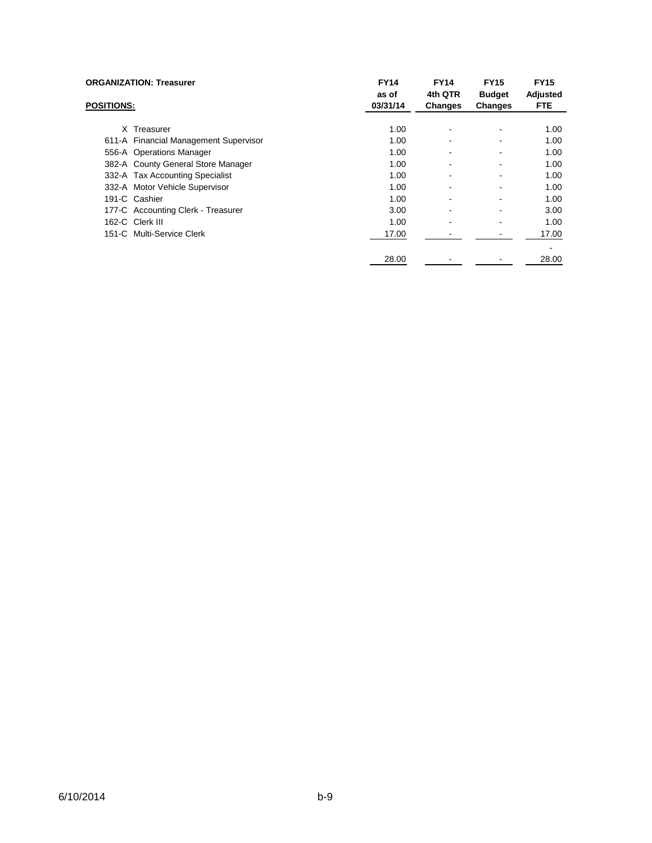|                   | <b>ORGANIZATION: Treasurer</b>        | <b>FY14</b><br>as of | <b>FY14</b><br>4th QTR | <b>FY15</b><br><b>Budget</b> | <b>FY15</b><br>Adjusted |
|-------------------|---------------------------------------|----------------------|------------------------|------------------------------|-------------------------|
| <b>POSITIONS:</b> |                                       | 03/31/14             | <b>Changes</b>         | <b>Changes</b>               | <b>FTE</b>              |
| X.                | Treasurer                             | 1.00                 |                        |                              | 1.00                    |
|                   | 611-A Financial Management Supervisor | 1.00                 |                        |                              | 1.00                    |
|                   | 556-A Operations Manager              | 1.00                 |                        |                              | 1.00                    |
|                   | 382-A County General Store Manager    | 1.00                 |                        |                              | 1.00                    |
|                   | 332-A Tax Accounting Specialist       | 1.00                 |                        |                              | 1.00                    |
|                   | 332-A Motor Vehicle Supervisor        | 1.00                 |                        |                              | 1.00                    |
|                   | 191-C Cashier                         | 1.00                 |                        |                              | 1.00                    |
|                   | 177-C Accounting Clerk - Treasurer    | 3.00                 |                        |                              | 3.00                    |
|                   | 162-C Clerk III                       | 1.00                 |                        |                              | 1.00                    |
|                   | 151-C Multi-Service Clerk             | 17.00                |                        |                              | 17.00                   |
|                   |                                       | 28.00                |                        |                              | 28.00                   |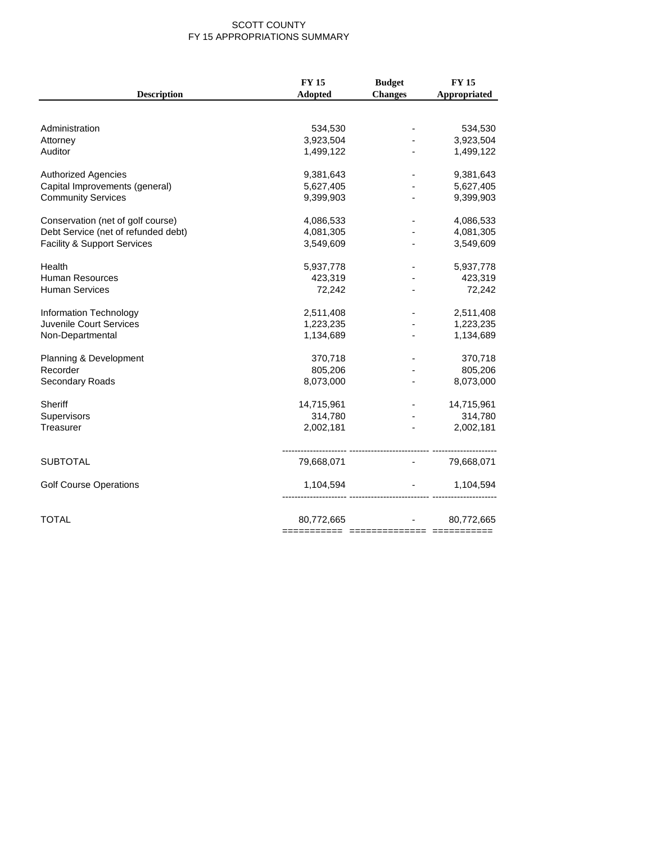#### SCOTT COUNTY FY 15 APPROPRIATIONS SUMMARY

|                                        | <b>FY 15</b> | <b>Budget</b>  | <b>FY 15</b>                      |
|----------------------------------------|--------------|----------------|-----------------------------------|
| <b>Description</b>                     | Adopted      | <b>Changes</b> | Appropriated                      |
|                                        |              |                |                                   |
| Administration                         | 534,530      |                | 534,530                           |
| Attorney                               | 3,923,504    |                | 3,923,504                         |
| Auditor                                | 1,499,122    |                | 1,499,122                         |
| <b>Authorized Agencies</b>             | 9,381,643    |                | 9,381,643                         |
| Capital Improvements (general)         | 5,627,405    |                | 5,627,405                         |
| <b>Community Services</b>              | 9,399,903    |                | 9,399,903                         |
| Conservation (net of golf course)      | 4,086,533    |                | 4,086,533                         |
| Debt Service (net of refunded debt)    | 4,081,305    |                | 4,081,305                         |
| <b>Facility &amp; Support Services</b> | 3,549,609    |                | 3,549,609                         |
| Health                                 | 5,937,778    |                | 5,937,778                         |
| <b>Human Resources</b>                 | 423,319      |                | 423,319                           |
| <b>Human Services</b>                  | 72,242       |                | 72,242                            |
| Information Technology                 | 2,511,408    |                | 2,511,408                         |
| Juvenile Court Services                | 1,223,235    |                | 1,223,235                         |
| Non-Departmental                       | 1,134,689    |                | 1,134,689                         |
| Planning & Development                 | 370,718      |                | 370,718                           |
| Recorder                               | 805,206      |                | 805,206                           |
| Secondary Roads                        | 8,073,000    |                | 8,073,000                         |
| <b>Sheriff</b>                         | 14,715,961   |                | 14,715,961                        |
| Supervisors                            | 314,780      |                | 314,780                           |
| Treasurer                              | 2,002,181    | $\blacksquare$ | 2,002,181                         |
| <b>SUBTOTAL</b>                        | 79,668,071   |                | $-79,668,071$                     |
| <b>Golf Course Operations</b>          | 1,104,594    |                | 1,104,594<br><b>All Contracts</b> |
| <b>TOTAL</b>                           | 80,772,665   |                | $-80,772,665$                     |
|                                        |              |                |                                   |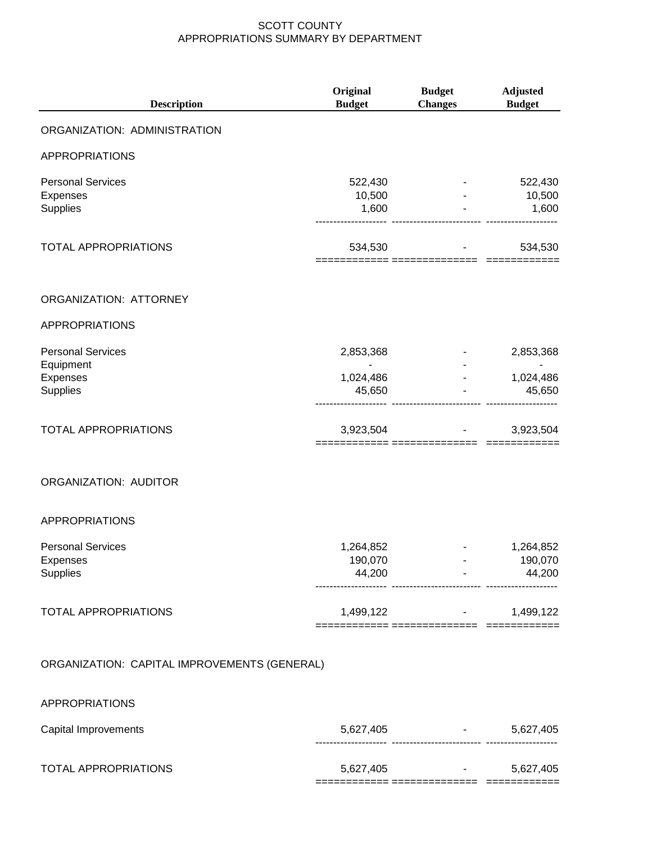| <b>Description</b>                               | Original<br><b>Budget</b>      | <b>Budget</b><br><b>Changes</b>                            | <b>Adjusted</b><br><b>Budget</b> |
|--------------------------------------------------|--------------------------------|------------------------------------------------------------|----------------------------------|
| ORGANIZATION: ADMINISTRATION                     |                                |                                                            |                                  |
| <b>APPROPRIATIONS</b>                            |                                |                                                            |                                  |
| <b>Personal Services</b><br>Expenses<br>Supplies | 522,430<br>10,500<br>1,600     |                                                            | 522,430<br>10,500<br>1,600       |
| <b>TOTAL APPROPRIATIONS</b>                      | 534,530                        |                                                            | 534,530                          |
| ORGANIZATION: ATTORNEY                           |                                |                                                            |                                  |
| <b>APPROPRIATIONS</b>                            |                                |                                                            |                                  |
| <b>Personal Services</b><br>Equipment            | 2,853,368                      |                                                            | 2,853,368                        |
| Expenses<br>Supplies                             | 1,024,486<br>45,650            |                                                            | 1,024,486<br>45,650              |
| TOTAL APPROPRIATIONS                             | 3,923,504                      |                                                            | 3,923,504                        |
| <b>ORGANIZATION: AUDITOR</b>                     |                                |                                                            |                                  |
| APPROPRIATIONS                                   |                                |                                                            |                                  |
| <b>Personal Services</b><br>Expenses<br>Supplies | 1,264,852<br>190,070<br>44,200 | ------------------------- ------------                     | 1,264,852<br>190,070<br>44,200   |
| <b>TOTAL APPROPRIATIONS</b>                      |                                | 1,499,122 - 1,499,122                                      |                                  |
| ORGANIZATION: CAPITAL IMPROVEMENTS (GENERAL)     |                                |                                                            |                                  |
| APPROPRIATIONS                                   |                                |                                                            |                                  |
| Capital Improvements                             |                                | 5,627,405 - 5,627,405<br>---------------------- ---------- |                                  |
|                                                  |                                |                                                            |                                  |

TOTAL APPROPRIATIONS 6,627,405 5,627,405 ============ ============== ============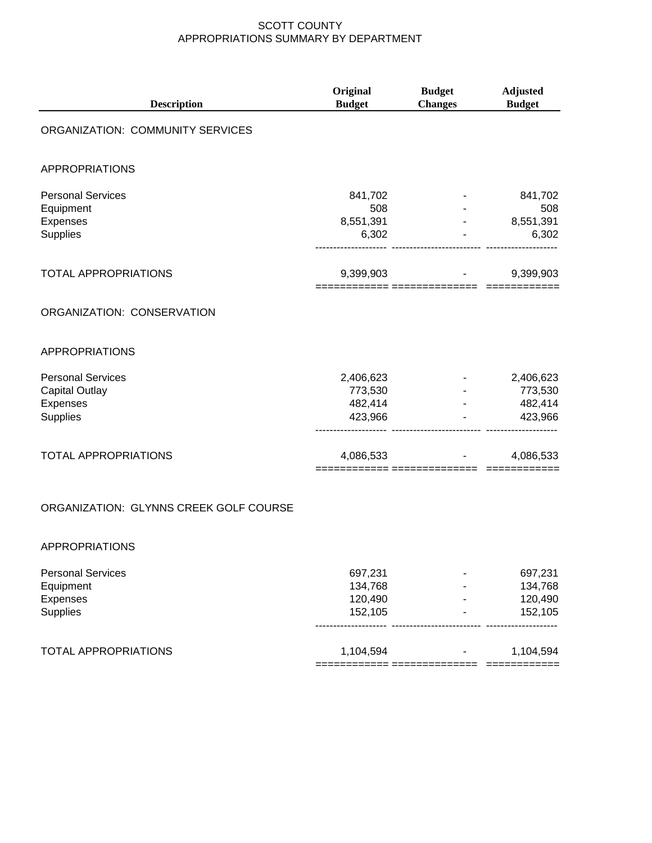| <b>Description</b>                     | Original<br><b>Budget</b>      | <b>Budget</b><br><b>Changes</b> | <b>Adjusted</b><br><b>Budget</b> |
|----------------------------------------|--------------------------------|---------------------------------|----------------------------------|
| ORGANIZATION: COMMUNITY SERVICES       |                                |                                 |                                  |
| <b>APPROPRIATIONS</b>                  |                                |                                 |                                  |
| <b>Personal Services</b><br>Equipment  | 841,702<br>508                 |                                 | 841,702<br>508                   |
| Expenses                               | 8,551,391                      |                                 | 8,551,391                        |
| <b>Supplies</b>                        | 6,302                          |                                 | 6,302                            |
| <b>TOTAL APPROPRIATIONS</b>            | 9,399,903                      |                                 | 9,399,903                        |
| ORGANIZATION: CONSERVATION             |                                |                                 |                                  |
| <b>APPROPRIATIONS</b>                  |                                |                                 |                                  |
| <b>Personal Services</b>               | 2,406,623                      |                                 | 2,406,623                        |
| <b>Capital Outlay</b>                  | 773,530                        |                                 | 773,530                          |
| Expenses                               | 482,414                        |                                 | 482,414                          |
| <b>Supplies</b>                        | 423,966                        |                                 | 423,966                          |
| <b>TOTAL APPROPRIATIONS</b>            | 4,086,533<br>-------- -------- |                                 | 4,086,533                        |
| ORGANIZATION: GLYNNS CREEK GOLF COURSE |                                |                                 |                                  |

#### APPROPRIATIONS

| <b>Personal Services</b>    | 697,231   | - | 697,231   |
|-----------------------------|-----------|---|-----------|
| Equipment                   | 134,768   |   | 134,768   |
| Expenses                    | 120,490   |   | 120,490   |
| <b>Supplies</b>             | 152,105   |   | 152,105   |
| <b>TOTAL APPROPRIATIONS</b> | 1,104,594 |   | 1,104,594 |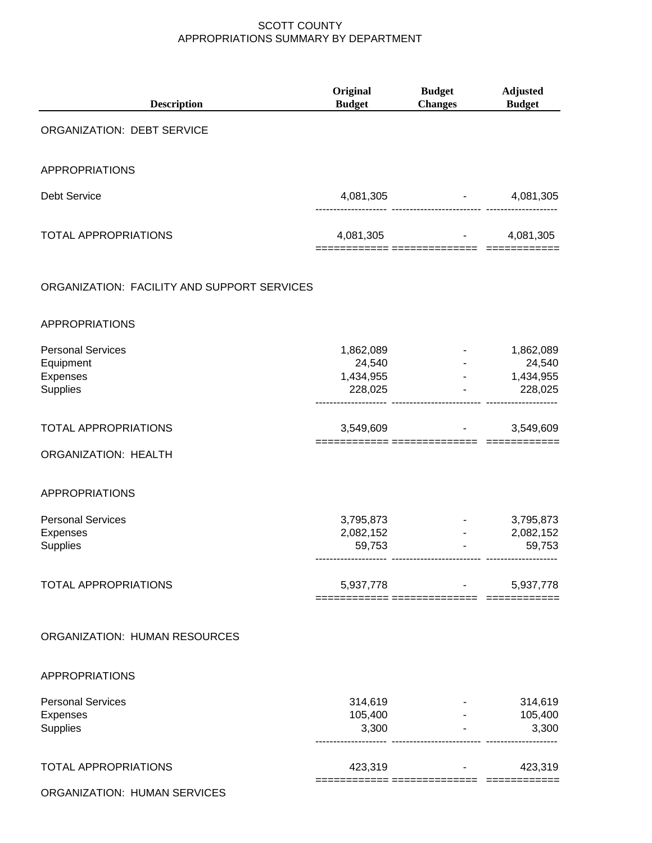| Original<br><b>Budget</b>                   | <b>Budget</b><br><b>Changes</b>                          | <b>Adjusted</b><br><b>Budget</b>                      |
|---------------------------------------------|----------------------------------------------------------|-------------------------------------------------------|
|                                             |                                                          |                                                       |
|                                             |                                                          |                                                       |
| 4,081,305                                   | <b>Harry Committee</b><br>---------------------- ------- | 4,081,305                                             |
|                                             |                                                          | 4,081,305                                             |
|                                             |                                                          |                                                       |
|                                             |                                                          |                                                       |
| 1,862,089<br>24,540<br>1,434,955<br>228,025 |                                                          | 1,862,089<br>24,540<br>1,434,955<br>228,025           |
| 3,549,609                                   |                                                          | 3,549,609                                             |
|                                             |                                                          |                                                       |
|                                             |                                                          |                                                       |
| 3,795,873<br>2,082,152<br>59,753            |                                                          | 3,795,873<br>2,082,152<br>59,753                      |
|                                             | <b>Contract Contract</b>                                 | 5,937,778                                             |
|                                             |                                                          |                                                       |
|                                             |                                                          |                                                       |
| 314,619<br>105,400<br>3,300                 |                                                          | 314,619<br>$-105,400$<br>3,300                        |
| 423,319                                     |                                                          | 423,319                                               |
|                                             |                                                          | $4,081,305$ -<br>======= ===============<br>5,937,778 |

ORGANIZATION: HUMAN SERVICES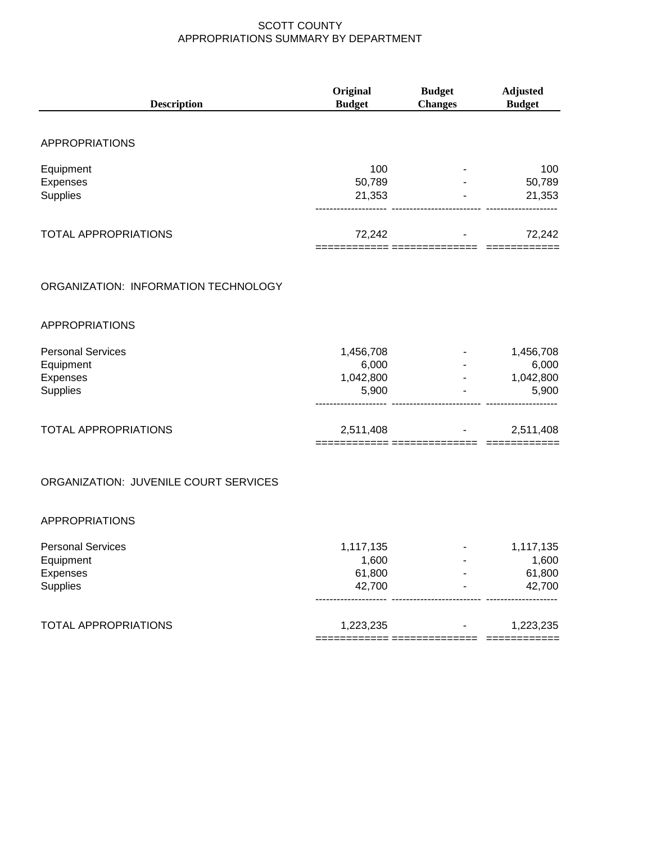| <b>Description</b>                    | Original<br><b>Budget</b> | <b>Budget</b><br><b>Changes</b> | <b>Adjusted</b><br><b>Budget</b> |
|---------------------------------------|---------------------------|---------------------------------|----------------------------------|
|                                       |                           |                                 |                                  |
| <b>APPROPRIATIONS</b>                 |                           |                                 |                                  |
| Equipment                             | 100                       |                                 | 100                              |
| Expenses                              | 50,789                    |                                 | 50,789                           |
| Supplies                              | 21,353                    |                                 | 21,353                           |
| <b>TOTAL APPROPRIATIONS</b>           | 72,242                    |                                 | 72,242                           |
| ORGANIZATION: INFORMATION TECHNOLOGY  |                           |                                 |                                  |
| <b>APPROPRIATIONS</b>                 |                           |                                 |                                  |
| <b>Personal Services</b>              | 1,456,708                 |                                 | 1,456,708                        |
| Equipment                             | 6,000                     |                                 | 6,000                            |
| Expenses                              | 1,042,800                 |                                 | $-1,042,800$                     |
| <b>Supplies</b>                       | 5,900                     |                                 | 5,900                            |
| <b>TOTAL APPROPRIATIONS</b>           | 2,511,408                 | ========== ===============      | 2,511,408<br>____________        |
| ORGANIZATION: JUVENILE COURT SERVICES |                           |                                 |                                  |
| <b>APPROPRIATIONS</b>                 |                           |                                 |                                  |
| <b>Personal Services</b>              | 1,117,135                 |                                 | 1,117,135                        |
| Equipment                             | 1,600                     |                                 | 1,600                            |
| Expenses                              | 61,800                    |                                 | 61,800                           |
| Supplies                              | 42,700                    |                                 | 42,700                           |
| <b>TOTAL APPROPRIATIONS</b>           | 1,223,235                 |                                 | 1,223,235                        |

============ ============== ============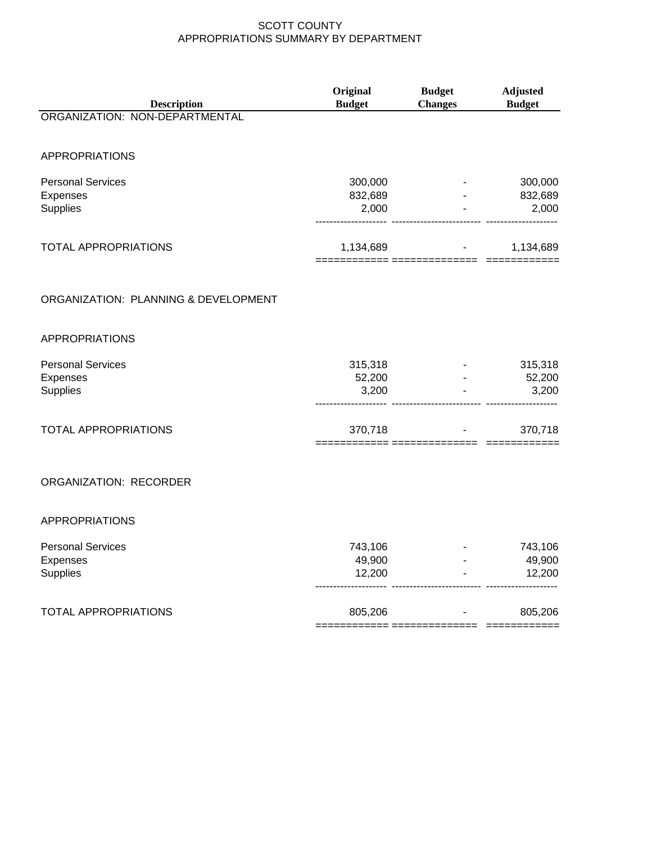| <b>Description</b>                                      | Original<br><b>Budget</b>   | <b>Budget</b><br><b>Changes</b> | <b>Adjusted</b><br><b>Budget</b> |
|---------------------------------------------------------|-----------------------------|---------------------------------|----------------------------------|
| ORGANIZATION: NON-DEPARTMENTAL                          |                             |                                 |                                  |
| <b>APPROPRIATIONS</b>                                   |                             |                                 |                                  |
| <b>Personal Services</b><br>Expenses<br>Supplies        | 300,000<br>832,689<br>2,000 |                                 | 300,000<br>832,689<br>2,000      |
| <b>TOTAL APPROPRIATIONS</b>                             | 1,134,689                   | <b>All Contracts</b>            | 1,134,689                        |
| ORGANIZATION: PLANNING & DEVELOPMENT                    |                             |                                 |                                  |
| <b>APPROPRIATIONS</b>                                   |                             |                                 |                                  |
| <b>Personal Services</b><br>Expenses<br><b>Supplies</b> | 315,318<br>52,200<br>3,200  |                                 | 315,318<br>52,200<br>3,200       |
| <b>TOTAL APPROPRIATIONS</b>                             | 370,718                     |                                 | 370,718                          |
| ORGANIZATION: RECORDER                                  |                             |                                 |                                  |
| <b>APPROPRIATIONS</b>                                   |                             |                                 |                                  |
| <b>Personal Services</b><br>Expenses<br>Supplies        | 743,106<br>49,900<br>12,200 |                                 | 743,106<br>49,900<br>12,200      |
| <b>TOTAL APPROPRIATIONS</b>                             | 805,206                     |                                 | 805,206                          |

============ ============== ============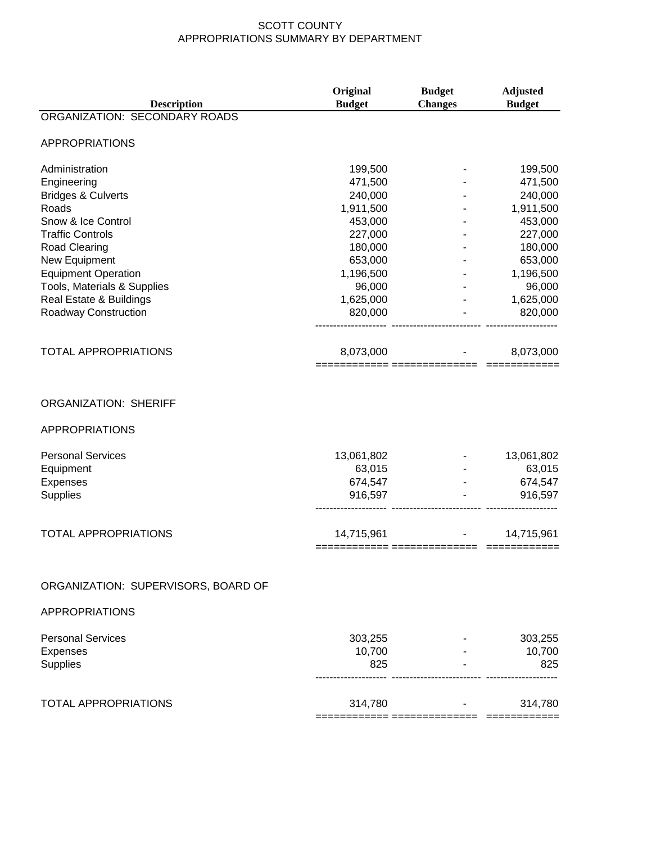| <b>ORGANIZATION: SECONDARY ROADS</b><br><b>APPROPRIATIONS</b><br>Administration<br>199,500<br>199,500<br>Engineering<br>471,500<br>471,500<br><b>Bridges &amp; Culverts</b><br>240,000<br>240,000<br>1,911,500<br>1,911,500<br>Roads<br>Snow & Ice Control<br>453,000<br>453,000<br><b>Traffic Controls</b><br>227,000<br>227,000<br><b>Road Clearing</b><br>180,000<br>180,000<br>New Equipment<br>653,000<br>653,000<br><b>Equipment Operation</b><br>1,196,500<br>1,196,500<br>Tools, Materials & Supplies<br>96,000<br>96,000<br>Real Estate & Buildings<br>1,625,000<br>1,625,000<br>820,000<br>820,000<br>Roadway Construction<br><b>TOTAL APPROPRIATIONS</b><br>8,073,000<br>8,073,000<br><b>ORGANIZATION: SHERIFF</b><br><b>APPROPRIATIONS</b><br><b>Personal Services</b><br>13,061,802<br>13,061,802<br>63,015<br>63,015<br>Equipment<br>Expenses<br>674,547<br>674,547<br>Supplies<br>916,597<br>916,597<br><b>TOTAL APPROPRIATIONS</b><br>14,715,961<br>14,715,961<br>============= ===========<br>ORGANIZATION: SUPERVISORS, BOARD OF<br><b>APPROPRIATIONS</b><br><b>Personal Services</b><br>303,255<br>303,255<br>10,700<br>Expenses<br>10,700<br>Supplies<br>825<br>825<br><b>TOTAL APPROPRIATIONS</b><br>314,780<br>314,780 | <b>Description</b> | Original<br><b>Budget</b> | <b>Budget</b><br><b>Changes</b> | <b>Adjusted</b><br><b>Budget</b> |
|----------------------------------------------------------------------------------------------------------------------------------------------------------------------------------------------------------------------------------------------------------------------------------------------------------------------------------------------------------------------------------------------------------------------------------------------------------------------------------------------------------------------------------------------------------------------------------------------------------------------------------------------------------------------------------------------------------------------------------------------------------------------------------------------------------------------------------------------------------------------------------------------------------------------------------------------------------------------------------------------------------------------------------------------------------------------------------------------------------------------------------------------------------------------------------------------------------------------------------------------|--------------------|---------------------------|---------------------------------|----------------------------------|
|                                                                                                                                                                                                                                                                                                                                                                                                                                                                                                                                                                                                                                                                                                                                                                                                                                                                                                                                                                                                                                                                                                                                                                                                                                              |                    |                           |                                 |                                  |
|                                                                                                                                                                                                                                                                                                                                                                                                                                                                                                                                                                                                                                                                                                                                                                                                                                                                                                                                                                                                                                                                                                                                                                                                                                              |                    |                           |                                 |                                  |
|                                                                                                                                                                                                                                                                                                                                                                                                                                                                                                                                                                                                                                                                                                                                                                                                                                                                                                                                                                                                                                                                                                                                                                                                                                              |                    |                           |                                 |                                  |
|                                                                                                                                                                                                                                                                                                                                                                                                                                                                                                                                                                                                                                                                                                                                                                                                                                                                                                                                                                                                                                                                                                                                                                                                                                              |                    |                           |                                 |                                  |
|                                                                                                                                                                                                                                                                                                                                                                                                                                                                                                                                                                                                                                                                                                                                                                                                                                                                                                                                                                                                                                                                                                                                                                                                                                              |                    |                           |                                 |                                  |
|                                                                                                                                                                                                                                                                                                                                                                                                                                                                                                                                                                                                                                                                                                                                                                                                                                                                                                                                                                                                                                                                                                                                                                                                                                              |                    |                           |                                 |                                  |
|                                                                                                                                                                                                                                                                                                                                                                                                                                                                                                                                                                                                                                                                                                                                                                                                                                                                                                                                                                                                                                                                                                                                                                                                                                              |                    |                           |                                 |                                  |
|                                                                                                                                                                                                                                                                                                                                                                                                                                                                                                                                                                                                                                                                                                                                                                                                                                                                                                                                                                                                                                                                                                                                                                                                                                              |                    |                           |                                 |                                  |
|                                                                                                                                                                                                                                                                                                                                                                                                                                                                                                                                                                                                                                                                                                                                                                                                                                                                                                                                                                                                                                                                                                                                                                                                                                              |                    |                           |                                 |                                  |
|                                                                                                                                                                                                                                                                                                                                                                                                                                                                                                                                                                                                                                                                                                                                                                                                                                                                                                                                                                                                                                                                                                                                                                                                                                              |                    |                           |                                 |                                  |
|                                                                                                                                                                                                                                                                                                                                                                                                                                                                                                                                                                                                                                                                                                                                                                                                                                                                                                                                                                                                                                                                                                                                                                                                                                              |                    |                           |                                 |                                  |
|                                                                                                                                                                                                                                                                                                                                                                                                                                                                                                                                                                                                                                                                                                                                                                                                                                                                                                                                                                                                                                                                                                                                                                                                                                              |                    |                           |                                 |                                  |
|                                                                                                                                                                                                                                                                                                                                                                                                                                                                                                                                                                                                                                                                                                                                                                                                                                                                                                                                                                                                                                                                                                                                                                                                                                              |                    |                           |                                 |                                  |
|                                                                                                                                                                                                                                                                                                                                                                                                                                                                                                                                                                                                                                                                                                                                                                                                                                                                                                                                                                                                                                                                                                                                                                                                                                              |                    |                           |                                 |                                  |
|                                                                                                                                                                                                                                                                                                                                                                                                                                                                                                                                                                                                                                                                                                                                                                                                                                                                                                                                                                                                                                                                                                                                                                                                                                              |                    |                           |                                 |                                  |
|                                                                                                                                                                                                                                                                                                                                                                                                                                                                                                                                                                                                                                                                                                                                                                                                                                                                                                                                                                                                                                                                                                                                                                                                                                              |                    |                           |                                 |                                  |
|                                                                                                                                                                                                                                                                                                                                                                                                                                                                                                                                                                                                                                                                                                                                                                                                                                                                                                                                                                                                                                                                                                                                                                                                                                              |                    |                           |                                 |                                  |
|                                                                                                                                                                                                                                                                                                                                                                                                                                                                                                                                                                                                                                                                                                                                                                                                                                                                                                                                                                                                                                                                                                                                                                                                                                              |                    |                           |                                 |                                  |
|                                                                                                                                                                                                                                                                                                                                                                                                                                                                                                                                                                                                                                                                                                                                                                                                                                                                                                                                                                                                                                                                                                                                                                                                                                              |                    |                           |                                 |                                  |
|                                                                                                                                                                                                                                                                                                                                                                                                                                                                                                                                                                                                                                                                                                                                                                                                                                                                                                                                                                                                                                                                                                                                                                                                                                              |                    |                           |                                 |                                  |
|                                                                                                                                                                                                                                                                                                                                                                                                                                                                                                                                                                                                                                                                                                                                                                                                                                                                                                                                                                                                                                                                                                                                                                                                                                              |                    |                           |                                 |                                  |
|                                                                                                                                                                                                                                                                                                                                                                                                                                                                                                                                                                                                                                                                                                                                                                                                                                                                                                                                                                                                                                                                                                                                                                                                                                              |                    |                           |                                 |                                  |
|                                                                                                                                                                                                                                                                                                                                                                                                                                                                                                                                                                                                                                                                                                                                                                                                                                                                                                                                                                                                                                                                                                                                                                                                                                              |                    |                           |                                 |                                  |
|                                                                                                                                                                                                                                                                                                                                                                                                                                                                                                                                                                                                                                                                                                                                                                                                                                                                                                                                                                                                                                                                                                                                                                                                                                              |                    |                           |                                 |                                  |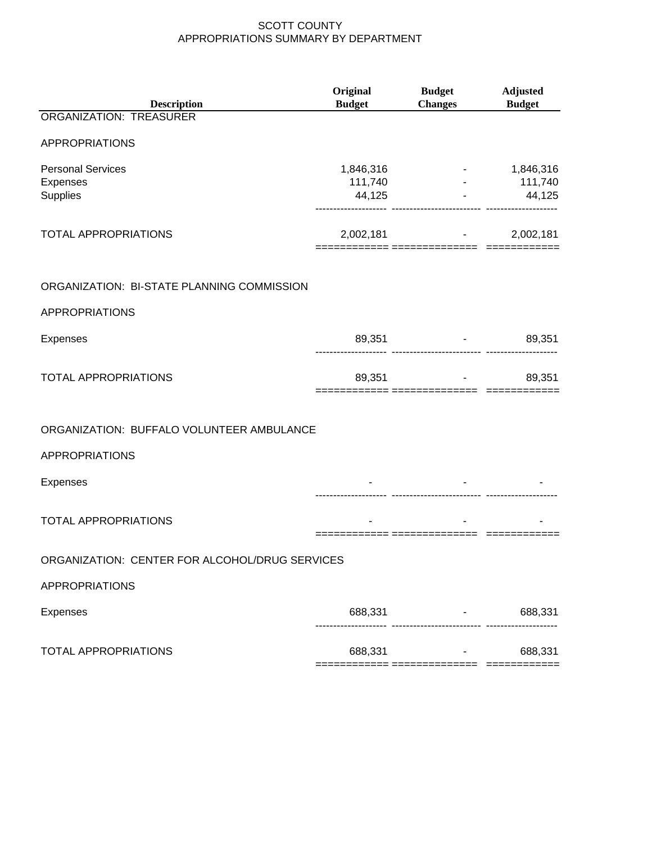| <b>Description</b>                               | Original<br><b>Budget</b> | <b>Budget</b><br><b>Changes</b> | <b>Adjusted</b><br><b>Budget</b> |
|--------------------------------------------------|---------------------------|---------------------------------|----------------------------------|
| ORGANIZATION: TREASURER                          |                           |                                 |                                  |
| APPROPRIATIONS                                   |                           |                                 |                                  |
| <b>Personal Services</b><br>Expenses<br>Supplies | 1,846,316<br>111,740      | <b>All Contracts</b><br>44,125  | 1,846,316<br>111,740<br>44,125   |
| <b>TOTAL APPROPRIATIONS</b>                      |                           | $2,002,181$ -                   | 2,002,181                        |
| ORGANIZATION: BI-STATE PLANNING COMMISSION       |                           |                                 |                                  |
| <b>APPROPRIATIONS</b>                            |                           |                                 |                                  |
| <b>Expenses</b>                                  |                           | 89,351                          | 89,351<br><b>Figure 1999</b>     |
| <b>TOTAL APPROPRIATIONS</b>                      |                           | $89,351$ -                      | 89,351                           |
| ORGANIZATION: BUFFALO VOLUNTEER AMBULANCE        |                           |                                 |                                  |
| APPROPRIATIONS                                   |                           |                                 |                                  |
| Expenses                                         |                           |                                 |                                  |
| <b>TOTAL APPROPRIATIONS</b>                      |                           |                                 |                                  |
| ORGANIZATION: CENTER FOR ALCOHOL/DRUG SERVICES   |                           |                                 |                                  |
| <b>APPROPRIATIONS</b>                            |                           |                                 |                                  |
| <b>Expenses</b>                                  | 688,331                   |                                 | 688,331                          |
| <b>TOTAL APPROPRIATIONS</b>                      | 688,331                   | ========= ==============        | 688,331<br>=========             |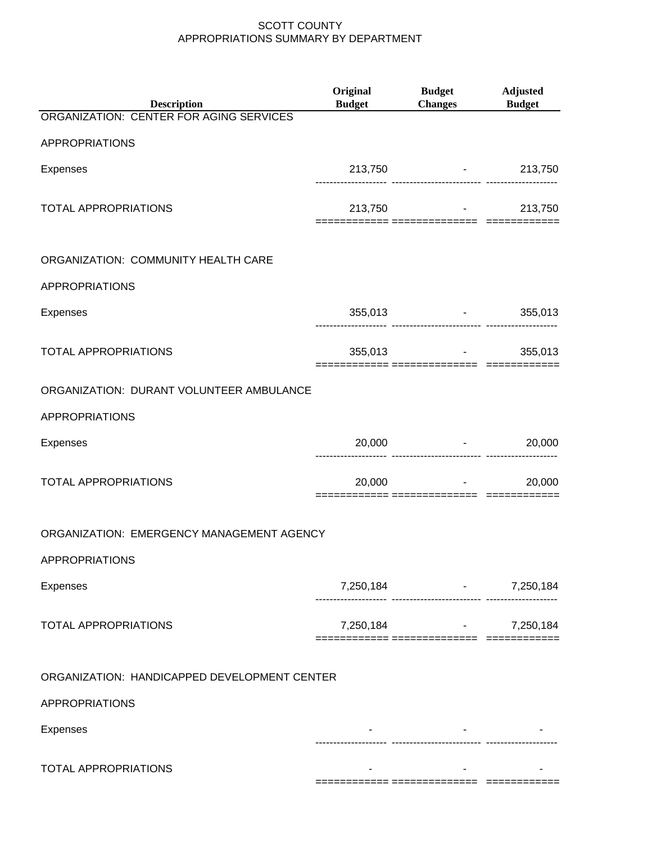| <b>Description</b>                           | <b>Original</b><br><b>Budget</b> | Budget Adjusted<br><b>Changes</b> Budget                                                                                                                                                                                        |           |
|----------------------------------------------|----------------------------------|---------------------------------------------------------------------------------------------------------------------------------------------------------------------------------------------------------------------------------|-----------|
| ORGANIZATION: CENTER FOR AGING SERVICES      |                                  |                                                                                                                                                                                                                                 |           |
| <b>APPROPRIATIONS</b>                        |                                  |                                                                                                                                                                                                                                 |           |
| <b>Expenses</b>                              |                                  | 213,750 - 213,750                                                                                                                                                                                                               |           |
| <b>TOTAL APPROPRIATIONS</b>                  |                                  | 213,750 - 213,750 - 213,750 - 214,750 - 214,750 - 214,750 - 215,750 - 215,750 - 215,750 - 215,750 - 215,750 - 215,750 - 215,750 - 215,750 - 215,750 - 215,750 - 215,750 - 215,750 - 215,750 - 215,750 - 215,750 - 215,750 - 215 | 213,750   |
| ORGANIZATION: COMMUNITY HEALTH CARE          |                                  |                                                                                                                                                                                                                                 |           |
| <b>APPROPRIATIONS</b>                        |                                  |                                                                                                                                                                                                                                 |           |
| <b>Expenses</b>                              |                                  | 355,013 - 355,013                                                                                                                                                                                                               |           |
| <b>TOTAL APPROPRIATIONS</b>                  |                                  | 355,013 - 355,013                                                                                                                                                                                                               |           |
| ORGANIZATION: DURANT VOLUNTEER AMBULANCE     |                                  |                                                                                                                                                                                                                                 |           |
| <b>APPROPRIATIONS</b>                        |                                  |                                                                                                                                                                                                                                 |           |
| <b>Expenses</b>                              |                                  | 20,000 - 20,000<br>------------------------ ---------                                                                                                                                                                           |           |
| TOTAL APPROPRIATIONS                         | 20,000                           | and the state of the state of                                                                                                                                                                                                   | 20,000    |
| ORGANIZATION: EMERGENCY MANAGEMENT AGENCY    |                                  |                                                                                                                                                                                                                                 |           |
| <b>APPROPRIATIONS</b>                        |                                  |                                                                                                                                                                                                                                 |           |
| Expenses                                     |                                  | 7,250,184 - 7,250,184<br>-- ------------------------- -------                                                                                                                                                                   |           |
| <b>TOTAL APPROPRIATIONS</b>                  | 7,250,184                        | $\bullet$ , and $\bullet$ , and $\bullet$                                                                                                                                                                                       | 7,250,184 |
| ORGANIZATION: HANDICAPPED DEVELOPMENT CENTER |                                  |                                                                                                                                                                                                                                 |           |
| <b>APPROPRIATIONS</b>                        |                                  |                                                                                                                                                                                                                                 |           |
| <b>Expenses</b>                              |                                  |                                                                                                                                                                                                                                 |           |
| TOTAL APPROPRIATIONS                         |                                  |                                                                                                                                                                                                                                 |           |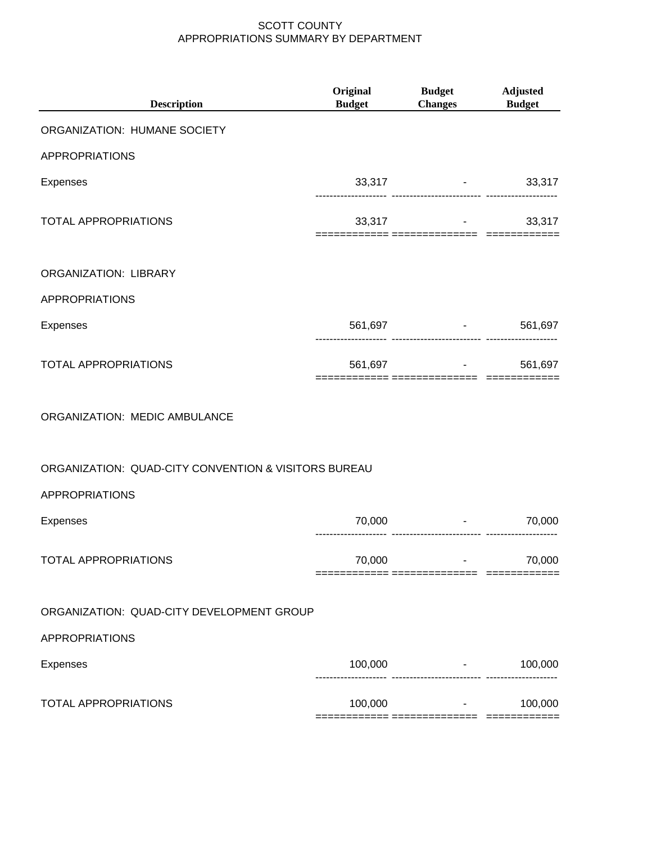| <b>Description</b>                                   | Original<br><b>Budget</b> | <b>Budget</b><br><b>Changes</b>                  | <b>Adjusted</b><br><b>Budget</b> |
|------------------------------------------------------|---------------------------|--------------------------------------------------|----------------------------------|
| ORGANIZATION: HUMANE SOCIETY                         |                           |                                                  |                                  |
| <b>APPROPRIATIONS</b>                                |                           |                                                  |                                  |
| <b>Expenses</b>                                      |                           | 33,317 - 33,317                                  |                                  |
| <b>TOTAL APPROPRIATIONS</b>                          |                           | $33,317$ -<br>-========= ============== ======== | 33,317                           |
| ORGANIZATION: LIBRARY                                |                           |                                                  |                                  |
| <b>APPROPRIATIONS</b>                                |                           |                                                  |                                  |
| <b>Expenses</b>                                      |                           | 561,697 - 1                                      | 561,697                          |
| <b>TOTAL APPROPRIATIONS</b>                          |                           | 561,697 - 561,697                                |                                  |
| ORGANIZATION: MEDIC AMBULANCE                        |                           |                                                  |                                  |
| ORGANIZATION: QUAD-CITY CONVENTION & VISITORS BUREAU |                           |                                                  |                                  |
| <b>APPROPRIATIONS</b>                                |                           |                                                  |                                  |
| <b>Expenses</b>                                      | 70,000                    | and the state of the state                       | 70,000                           |
| TOTAL APPROPRIATIONS                                 | 70,000                    |                                                  | 70,000                           |
| ORGANIZATION: QUAD-CITY DEVELOPMENT GROUP            |                           |                                                  |                                  |
| <b>APPROPRIATIONS</b>                                |                           |                                                  |                                  |
| <b>Expenses</b>                                      | 100,000                   | and the control of the con-<br>                  | 100,000                          |
| <b>TOTAL APPROPRIATIONS</b>                          | 100,000                   | <b>Contract Contract</b>                         | 100,000                          |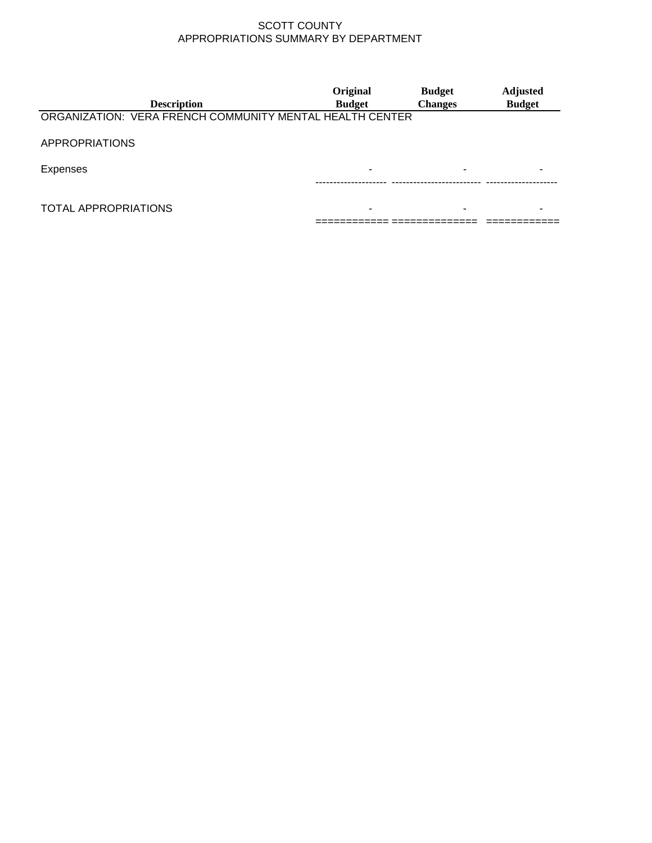| <b>Description</b>                                       | Original<br><b>Budget</b> | <b>Budget</b><br><b>Changes</b> | <b>Adjusted</b><br><b>Budget</b> |
|----------------------------------------------------------|---------------------------|---------------------------------|----------------------------------|
| ORGANIZATION: VERA FRENCH COMMUNITY MENTAL HEALTH CENTER |                           |                                 |                                  |
| <b>APPROPRIATIONS</b>                                    |                           |                                 |                                  |
| Expenses                                                 |                           |                                 |                                  |
| <b>TOTAL APPROPRIATIONS</b>                              |                           |                                 |                                  |